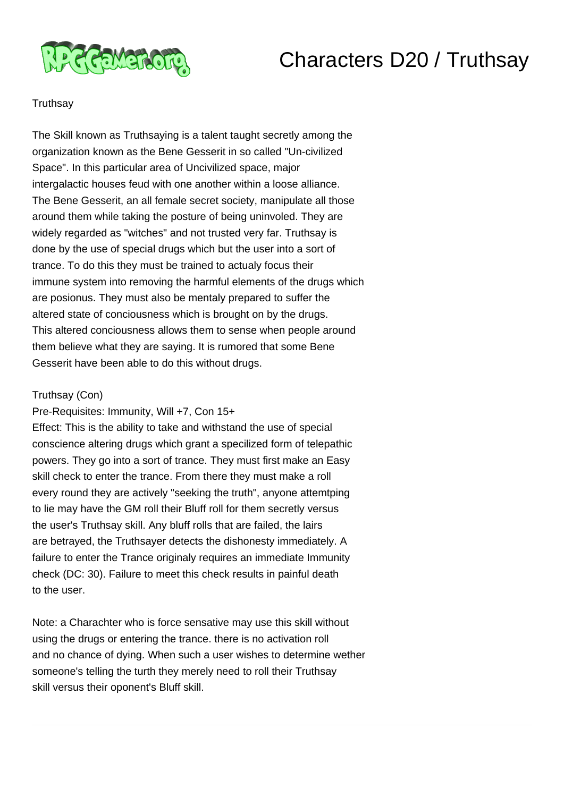

## Characters D20 / Truthsay

## **Truthsay**

The Skill known as Truthsaying is a talent taught secretly among the organization known as the Bene Gesserit in so called "Un-civilized Space". In this particular area of Uncivilized space, major intergalactic houses feud with one another within a loose alliance. The Bene Gesserit, an all female secret society, manipulate all those around them while taking the posture of being uninvoled. They are widely regarded as "witches" and not trusted very far. Truthsay is done by the use of special drugs which but the user into a sort of trance. To do this they must be trained to actualy focus their immune system into removing the harmful elements of the drugs which are posionus. They must also be mentaly prepared to suffer the altered state of conciousness which is brought on by the drugs. This altered conciousness allows them to sense when people around them believe what they are saying. It is rumored that some Bene Gesserit have been able to do this without drugs.

## Truthsay (Con)

Pre-Requisites: Immunity, Will +7, Con 15+ Effect: This is the ability to take and withstand the use of special conscience altering drugs which grant a specilized form of telepathic powers. They go into a sort of trance. They must first make an Easy skill check to enter the trance. From there they must make a roll every round they are actively "seeking the truth", anyone attemtping to lie may have the GM roll their Bluff roll for them secretly versus the user's Truthsay skill. Any bluff rolls that are failed, the lairs are betrayed, the Truthsayer detects the dishonesty immediately. A failure to enter the Trance originaly requires an immediate Immunity check (DC: 30). Failure to meet this check results in painful death to the user.

Note: a Charachter who is force sensative may use this skill without using the drugs or entering the trance. there is no activation roll and no chance of dying. When such a user wishes to determine wether someone's telling the turth they merely need to roll their Truthsay skill versus their oponent's Bluff skill.